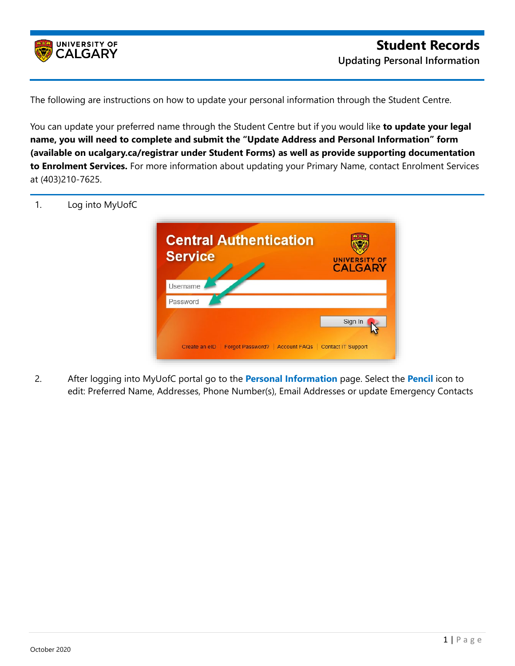

The following are instructions on how to update your personal information through the Student Centre.

You can update your preferred name through the Student Centre but if you would like **to update your legal name, you will need to complete and submit the "Update Address and Personal Information" form (available on ucalgary.ca/registrar under Student Forms) as well as provide supporting documentation to Enrolment Services.** For more information about updating your Primary Name, contact Enrolment Services at (403)210-7625.



2. After logging into MyUofC portal go to the **Personal Information** page. Select the **Pencil** icon to edit: Preferred Name, Addresses, Phone Number(s), Email Addresses or update Emergency Contacts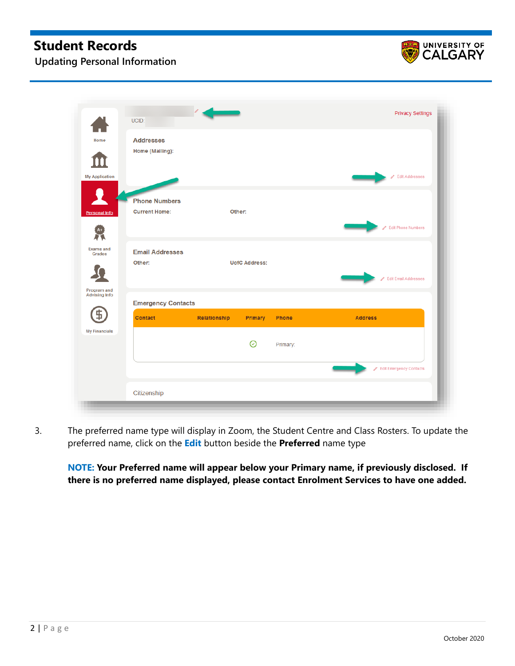## **Student Records**



**Updating Personal Information**

|                                     | UCID:                                        | $\sqrt{2}$   |                      |          | <b>Privacy Settings</b>        |
|-------------------------------------|----------------------------------------------|--------------|----------------------|----------|--------------------------------|
| Home                                | <b>Addresses</b><br>Home (Mailing):          |              |                      |          |                                |
| <b>My Application</b>               |                                              |              |                      |          | Edit Addresses                 |
| <b>Personal Info</b>                | <b>Phone Numbers</b><br><b>Current Home:</b> |              | Other:               |          |                                |
|                                     |                                              |              |                      |          | <b>Edit Phone Numbers</b><br>A |
| <b>Exams and</b><br>Grades          | <b>Email Addresses</b><br>Other:             |              | <b>UofC Address:</b> |          | Edit Email Addresses           |
| Program and<br><b>Advising Info</b> | <b>Emergency Contacts</b>                    |              |                      |          |                                |
|                                     | <b>Contact</b>                               | Relationship | Primary              | Phone    | <b>Address</b>                 |
| <b>My Financials</b>                |                                              |              | ⊘                    | Primary: |                                |
|                                     |                                              |              |                      |          | Edit Emergency Contacts        |
|                                     | Citizenship                                  |              |                      |          |                                |

3. The preferred name type will display in Zoom, the Student Centre and Class Rosters. To update the preferred name, click on the **Edit** button beside the **Preferred** name type

**NOTE: Your Preferred name will appear below your Primary name, if previously disclosed. If there is no preferred name displayed, please contact Enrolment Services to have one added.**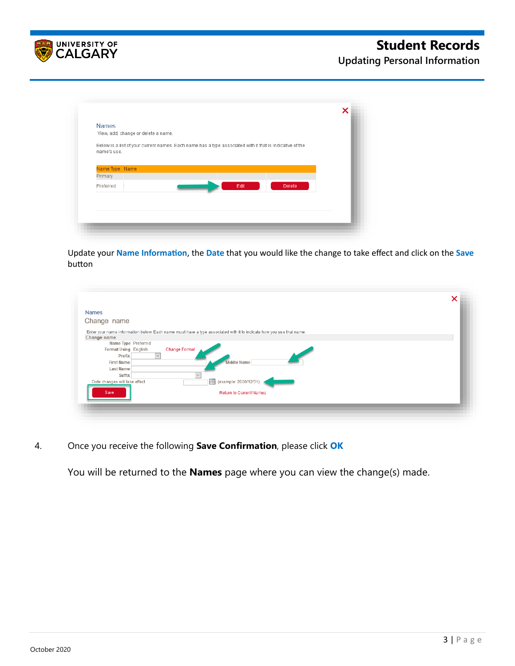

**Updating Personal Information**

| <b>Names</b>                                                                                                            |      |               |  |
|-------------------------------------------------------------------------------------------------------------------------|------|---------------|--|
| View, add, change or delete a name.                                                                                     |      |               |  |
| Below is a list of your current names. Each name has a type associated with it that is indicative of the<br>name's use. |      |               |  |
| Name Type Name<br>Primary                                                                                               |      |               |  |
|                                                                                                                         |      |               |  |
| Preferred                                                                                                               | Edit | <b>Delete</b> |  |
|                                                                                                                         |      |               |  |
|                                                                                                                         |      |               |  |
|                                                                                                                         |      |               |  |
|                                                                                                                         |      |               |  |

Update your **Name Informa�on**, the **Date** that you would like the change to take effect and click on the **Save**  button

|                               |                                                                                                                     | × |
|-------------------------------|---------------------------------------------------------------------------------------------------------------------|---|
| <b>Names</b>                  |                                                                                                                     |   |
| Change name                   |                                                                                                                     |   |
|                               |                                                                                                                     |   |
|                               | Enter your name information below. Each name must have a type associated with it to indicate how you use that name. |   |
| Change name                   |                                                                                                                     |   |
| Name Type Preferred           |                                                                                                                     |   |
| Format Using English          | <b>Change Format</b>                                                                                                |   |
| Prefix<br>$\sim$              |                                                                                                                     |   |
| <b>First Name</b>             | Middle Name                                                                                                         |   |
| <b>Last Name</b>              |                                                                                                                     |   |
| Suffix                        | $\checkmark$                                                                                                        |   |
| Date changes will take effect | (example: 2000/12/31)                                                                                               |   |
|                               |                                                                                                                     |   |
| Save                          | <b>Return to Current Names</b>                                                                                      |   |
|                               |                                                                                                                     |   |
|                               |                                                                                                                     |   |

4. Once you receive the following **Save Confirmation**, please click **OK**

You will be returned to the **Names** page where you can view the change(s) made.